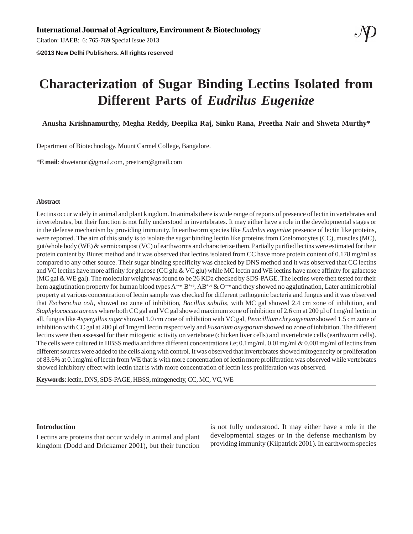Citation: IJAEB: 6: 765-769 Special Issue 2013

**©2013 New Delhi Publishers. All rights reserved**

# **Characterization of Sugar Binding Lectins Isolated from Different Parts of** *Eudrilus Eugeniae*

**Anusha Krishnamurthy, Megha Reddy, Deepika Raj, Sinku Rana, Preetha Nair and Shweta Murthy\***

Department of Biotechnology, Mount Carmel College, Bangalore.

\***E mail**:shwetanori@gmail.com, preetram@gmail.com

# **Abstract**

Lectins occur widely in animal and plant kingdom. In animals there is wide range of reports of presence of lectin in vertebrates and invertebrates, but their function is not fully understood in invertebrates. It may either have a role in the developmental stages or in the defense mechanism by providing immunity. In earthworm species like *Eudrilus eugeniae* presence of lectin like proteins, were reported. The aim of this study is to isolate the sugar binding lectin like proteins from Coelomocytes (CC), muscles (MC), gut/whole body (WE) & vermicompost (VC) of earthworms and characterize them. Partially purified lectins were estimated for their protein content by Biuret method and it was observed that lectins isolated from CC have more protein content of 0.178 mg/ml as compared to any other source. Their sugar binding specificity was checked by DNS method and it was observed that CC lectins and VC lectins have more affinity for glucose (CC glu & VC glu) while MC lectin and WE lectins have more affinity for galactose (MC gal & WE gal). The molecular weight was found to be 26 KDa checked by SDS-PAGE. The lectins were then tested for their hem agglutination property for human blood types  $A^{+ve}$ ,  $B^{+ve}$ ,  $AB^{+ve}$  &  $O^{+ve}$  and they showed no agglutination, Later antimicrobial property at various concentration of lectin sample was checked for different pathogenic bacteria and fungus and it was observed that *Escherichia coli,* showed no zone of inhibition*, Bacillus subtilis,* with MC gal showed 2.4 cm zone of inhibition*,* and *Staphylococcus aureus* where both CC gal and VC gal showed maximum zone of inhibition of 2.6 cm at 200 µl of 1mg/ml lectin in all, fungus like *Aspergillus niger* showed 1.0 cm zone of inhibition with VC gal, *Penicillium chrysogenum* showed 1.5 cm zone of inhibition with CC gal at 200 µl of 1mg/ml lectin respectively and *Fusarium oxysporum* showed no zone of inhibition. The different lectins were then assessed for their mitogenic activity on vertebrate (chicken liver cells) and invertebrate cells (earthworm cells). The cells were cultured in HBSS media and three different concentrations i.e; 0.1mg/ml. 0.01mg/ml & 0.001mg/ml of lectins from different sources were added to the cells along with control. It was observed that invertebrates showed mitogenecity or proliferation of 83.6% at 0.1mg/ml of lectin from WE that is with more concentration of lectin more proliferation was observed while vertebrates showed inhibitory effect with lectin that is with more concentration of lectin less proliferation was observed.

**Keywords**: lectin, DNS, SDS-PAGE, HBSS, mitogenecity, CC, MC, VC, WE

# **Introduction**

Lectins are proteins that occur widely in animal and plant kingdom (Dodd and Drickamer 2001), but their function

is not fully understood. It may either have a role in the developmental stages or in the defense mechanism by providing immunity (Kilpatrick 2001). In earthworm species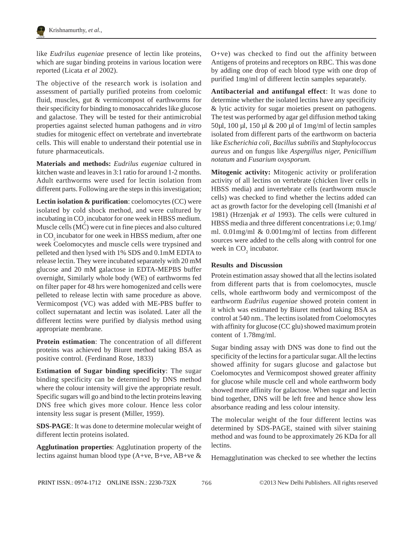

like *Eudrilus eugeniae* presence of lectin like proteins, which are sugar binding proteins in various location were reported (Licata *et al* 2002).

The objective of the research work is isolation and assessment of partially purified proteins from coelomic fluid, muscles, gut & vermicompost of earthworms for their specificity for binding to monosaccahrides like glucose and galactose. They will be tested for their antimicrobial properties against selected human pathogens and *in vitro* studies for mitogenic effect on vertebrate and invertebrate cells. This will enable to understand their potential use in future pharmaceuticals.

**Materials and methods:** *Eudrilus eugeniae* cultured in kitchen waste and leaves in 3:1 ratio for around 1-2 months. Adult earthworms were used for lectin isolation from different parts. Following are the steps in this investigation;

**Lectin isolation & purification**: coelomocytes (CC) were isolated by cold shock method, and were cultured by incubating in CO<sub>2</sub> incubator for one week in HBSS medium. Muscle cells (MC) were cut in fine pieces and also cultured in CO<sub>2</sub> incubator for one week in HBSS medium, after one week Coelomocytes and muscle cells were trypsined and pelleted and then lysed with 1% SDS and 0.1mM EDTA to release lectin. They were incubated separately with 20 mM glucose and 20 mM galactose in EDTA-MEPBS buffer overnight, Similarly whole body (WE) of earthworms fed on filter paper for 48 hrs were homogenized and cells were pelleted to release lectin with same procedure as above. Vermicompost (VC) was added with ME-PBS buffer to collect supernatant and lectin was isolated. Later all the different lectins were purified by dialysis method using appropriate membrane.

**Protein estimation**: The concentration of all different proteins was achieved by Biuret method taking BSA as positive control. (Ferdinand Rose, 1833)

**Estimation of Sugar binding specificity**: The sugar binding specificity can be determined by DNS method where the colour intensity will give the appropriate result. Specific sugars will go and bind to the lectin proteins leaving DNS free which gives more colour. Hence less color intensity less sugar is present (Miller, 1959).

**SDS-PAGE**: It was done to determine molecular weight of different lectin proteins isolated.

**Agglutination properties**: Agglutination property of the lectins against human blood type (A+ve, B+ve, AB+ve & O+ve) was checked to find out the affinity between Antigens of proteins and receptors on RBC. This was done by adding one drop of each blood type with one drop of purified 1mg/ml of different lectin samples separately.

**Antibacterial and antifungal effect**: It was done to determine whether the isolated lectins have any specificity & lytic activity for sugar moieties present on pathogens. The test was performed by agar gel diffusion method taking 50µl, 100 µl, 150 µl & 200 µl of 1mg/ml of lectin samples isolated from different parts of the earthworm on bacteria like *Escherichia coli*, *Bacillus subtilis* and *Staphylococcus aureus* and on fungus like *Aspergillus niger, Penicillium notatum* and *Fusarium oxysporum.*

**Mitogenic activity:** Mitogenic activity or proliferation activity of all lectins on vertebrate (chicken liver cells in HBSS media) and invertebrate cells (earthworm muscle cells) was checked to find whether the lectins added can act as growth factor for the developing cell (Imanishi *et al* 1981) (Hrzenjak *et al* 1993). The cells were cultured in HBSS media and three different concentrations i.e; 0.1mg/ ml. 0.01mg/ml & 0.001mg/ml of lectins from different sources were added to the cells along with control for one week in  $CO<sub>2</sub>$  incubator.

# **Results and Discussion**

Protein estimation assay showed that all the lectins isolated from different parts that is from coelomocytes, muscle cells, whole earthworm body and vermicompost of the earthworm *Eudrilus eugeniae* showed protein content in it which was estimated by Biuret method taking BSA as control at 540 nm.. The lectins isolated from Coelomocytes with affinity for glucose (CC glu) showed maximum protein content of 1.78mg/ml.

Sugar binding assay with DNS was done to find out the specificity of the lectins for a particular sugar. All the lectins showed affinity for sugars glucose and galactose but Coelomocytes and Vermicompost showed greater affinity for glucose while muscle cell and whole earthworm body showed more affinity for galactose. When sugar and lectin bind together, DNS will be left free and hence show less absorbance reading and less colour intensity.

The molecular weight of the four different lectins was determined by SDS-PAGE, stained with silver staining method and was found to be approximately 26 KDa for all lectins.

Hemagglutination was checked to see whether the lectins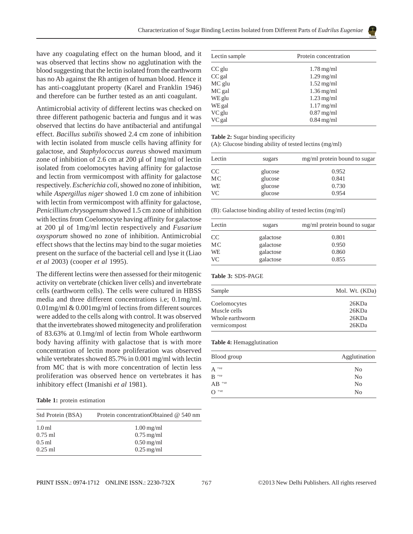have any coagulating effect on the human blood, and it was observed that lectins show no agglutination with the blood suggesting that the lectin isolated from the earthworm has no Ab against the Rh antigen of human blood. Hence it has anti-coagglutant property (Karel and Franklin 1946) and therefore can be further tested as an anti coagulant.

Antimicrobial activity of different lectins was checked on three different pathogenic bacteria and fungus and it was observed that lectins do have antibacterial and antifungal effect. *Bacillus subtilis* showed 2.4 cm zone of inhibition with lectin isolated from muscle cells having affinity for galactose, and *Staphylococcus aureus* showed maximum zone of inhibition of 2.6 cm at 200 µl of 1mg/ml of lectin isolated from coelomocytes having affinity for galactose and lectin from vermicompost with affinity for galactose respectively. *Escherichia coli,* showed no zone of inhibition*,* while *Aspergillus niger* showed 1.0 cm zone of inhibition with lectin from vermicompost with affinity for galactose, *Penicillium chrysogenum* showed 1.5 cm zone of inhibition with lectins from Coelomocyte having affinity for galactose at 200 µl of 1mg/ml lectin respectively and *Fusarium oxysporum* showed no zone of inhibition. Antimicrobial effect shows that the lectins may bind to the sugar moieties present on the surface of the bacterial cell and lyse it (Liao *et al* 2003) (cooper *et al* 1995).

The different lectins were then assessed for their mitogenic activity on vertebrate (chicken liver cells) and invertebrate cells (earthworm cells). The cells were cultured in HBSS media and three different concentrations i.e; 0.1mg/ml. 0.01mg/ml & 0.001mg/ml of lectins from different sources were added to the cells along with control. It was observed that the invertebrates showed mitogenecity and proliferation of 83.63% at 0.1mg/ml of lectin from Whole earthworm body having affinity with galactose that is with more concentration of lectin more proliferation was observed while vertebrates showed 85.7% in 0.001 mg/ml with lectin from MC that is with more concentration of lectin less proliferation was observed hence on vertebrates it has inhibitory effect (Imanishi *et al* 1981).

**Table 1:** protein estimation

| Protein concentrationObtained @ 540 nm |
|----------------------------------------|
| $1.00 \,\mathrm{mg/ml}$                |
| $0.75$ mg/ml                           |
| $0.50$ mg/ml                           |
| $0.25$ mg/ml                           |
|                                        |

| Lectin sample | Protein concentration   |
|---------------|-------------------------|
| CC glu        | $1.78 \,\mathrm{mg/ml}$ |
| $CC$ gal      | $1.29$ mg/ml            |
| MC glu        | $1.52 \text{ mg/ml}$    |
| MC gal        | $1.36$ mg/ml            |
| WE glu        | $1.23$ mg/ml            |
| WE gal        | $1.17$ mg/ml            |
| VC glu        | $0.87$ mg/ml            |
| VC gal        | $0.84$ mg/ml            |

**Table 2:** Sugar binding specificity

(A): Glucose binding ability of tested lectins (mg/ml)

| Lectin | sugars  | mg/ml protein bound to sugar |
|--------|---------|------------------------------|
| CC     | glucose | 0.952                        |
| МC     | glucose | 0.841                        |
| WE     | glucose | 0.730                        |
| VC     | glucose | 0.954                        |

(B): Galactose binding ability of tested lectins (mg/ml)

| Lectin        | sugars    | mg/ml protein bound to sugar |
|---------------|-----------|------------------------------|
| <sub>CC</sub> | galactose | 0.801                        |
| МC            | galactose | 0.950                        |
| WE            | galactose | 0.860                        |
| VC            | galactose | 0.855                        |

### **Table 3:** SDS-PAGE

| Sample          | Mol. Wt. (KDa) |
|-----------------|----------------|
| Coelomocytes    | 26KDa          |
| Muscle cells    | 26KDa          |
| Whole earthworm | 26KDa          |
| vermicompost    | 26KDa          |

#### **Table 4:** Hemagglutination

| Blood group      | Agglutination  |
|------------------|----------------|
| $A^{\text{+ve}}$ | N <sub>0</sub> |
| $B^+$            | N <sub>0</sub> |
| $AB$ +ve         | N <sub>0</sub> |
| $O$ +ve          | N <sub>0</sub> |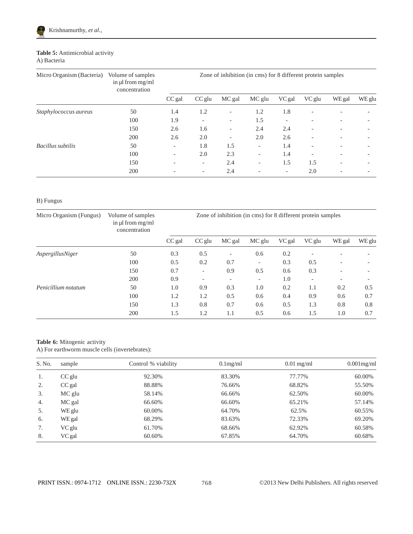

# **Table 5:** Antimicrobial activity A) Bacteria

| Micro Organism (Bacteria) | Volume of samples<br>in $\mu$ from mg/ml<br>concentration |                          |                          |                          | Zone of inhibition (in cms) for 8 different protein samples |        |                          |        |        |
|---------------------------|-----------------------------------------------------------|--------------------------|--------------------------|--------------------------|-------------------------------------------------------------|--------|--------------------------|--------|--------|
|                           |                                                           | CC gal                   | $CC$ glu                 | MC gal                   | MC glu                                                      | VC gal | VC glu                   | WE gal | WE glu |
| Staphylococcus aureus     | 50                                                        | 1.4                      | 1.2                      | $\overline{\phantom{a}}$ | 1.2                                                         | 1.8    |                          |        |        |
|                           | 100                                                       | 1.9                      |                          | $\overline{\phantom{a}}$ | 1.5                                                         |        |                          |        |        |
|                           | 150                                                       | 2.6                      | 1.6                      | $\overline{\phantom{a}}$ | 2.4                                                         | 2.4    |                          |        |        |
|                           | 200                                                       | 2.6                      | 2.0                      | $\overline{\phantom{a}}$ | 2.0                                                         | 2.6    |                          |        |        |
| Bacillus subtilis         | 50                                                        | $\overline{\phantom{a}}$ | 1.8                      | 1.5                      | $\overline{\phantom{a}}$                                    | 1.4    |                          |        |        |
|                           | 100                                                       | $\overline{\phantom{a}}$ | 2.0                      | 2.3                      | $\overline{\phantom{0}}$                                    | 1.4    | $\overline{\phantom{0}}$ |        |        |
|                           | 150                                                       |                          | $\overline{\phantom{a}}$ | 2.4                      | $\overline{\phantom{0}}$                                    | 1.5    | 1.5                      |        |        |
|                           | 200                                                       |                          |                          | 2.4                      |                                                             |        | 2.0                      |        |        |

# B) Fungus

| Micro Organism (Fungus) | Volume of samples<br>in $\mu$ from mg/ml<br>concentration | Zone of inhibition (in cms) for 8 different protein samples |                          |                          |                          |        |                          |        |        |
|-------------------------|-----------------------------------------------------------|-------------------------------------------------------------|--------------------------|--------------------------|--------------------------|--------|--------------------------|--------|--------|
|                         |                                                           | CC gal                                                      | $CC$ glu                 | MC gal                   | MC glu                   | VC gal | VC glu                   | WE gal | WE glu |
| AspergillusNiger        | 50                                                        | 0.3                                                         | 0.5                      | $\overline{\phantom{a}}$ | 0.6                      | 0.2    | $\overline{\phantom{0}}$ |        |        |
|                         | 100                                                       | 0.5                                                         | 0.2                      | 0.7                      | $\overline{\phantom{a}}$ | 0.3    | 0.5                      |        |        |
|                         | 150                                                       | 0.7                                                         | $\overline{\phantom{a}}$ | 0.9                      | 0.5                      | 0.6    | 0.3                      |        |        |
|                         | 200                                                       | 0.9                                                         | $\overline{\phantom{a}}$ | $\overline{\phantom{0}}$ | $\overline{\phantom{0}}$ | 1.0    | $\overline{\phantom{a}}$ |        |        |
| Penicillium notatum     | 50                                                        | 1.0                                                         | 0.9                      | 0.3                      | 1.0                      | 0.2    | 1.1                      | 0.2    | 0.5    |
|                         | 100                                                       | 1.2                                                         | 1.2                      | 0.5                      | 0.6                      | 0.4    | 0.9                      | 0.6    | 0.7    |
|                         | 150                                                       | 1.3                                                         | 0.8                      | 0.7                      | 0.6                      | 0.5    | 1.3                      | 0.8    | 0.8    |
|                         | 200                                                       | 1.5                                                         | 1.2                      | 1.1                      | 0.5                      | 0.6    | 1.5                      | 1.0    | 0.7    |

# **Table 6:** Mitogenic activity

A) For earthworm muscle cells (invertebrates):

| S. No. | sample   | Control % viability | $0.1$ mg/ml | $0.01$ mg/ml | $0.001$ mg/ml |
|--------|----------|---------------------|-------------|--------------|---------------|
| 1.     | $CC$ glu | 92.30%              | 83.30%      | 77.77%       | 60.00%        |
| 2.     | $CC$ gal | 88.88%              | 76.66%      | 68.82%       | 55.50%        |
| 3.     | MC glu   | 58.14%              | 66.66%      | 62.50%       | 60.00%        |
| 4.     | MC gal   | 66.60%              | 66.60%      | 65.21%       | 57.14%        |
| 5.     | WE glu   | 60.00%              | 64.70%      | 62.5%        | 60.55%        |
| 6.     | WE gal   | 68.29%              | 83.63%      | 72.33%       | 69.20%        |
| 7.     | VC glu   | 61.70%              | 68.66%      | 62.92%       | 60.58%        |
| 8.     | VC gal   | 60.60%              | 67.85%      | 64.70%       | 60.68%        |